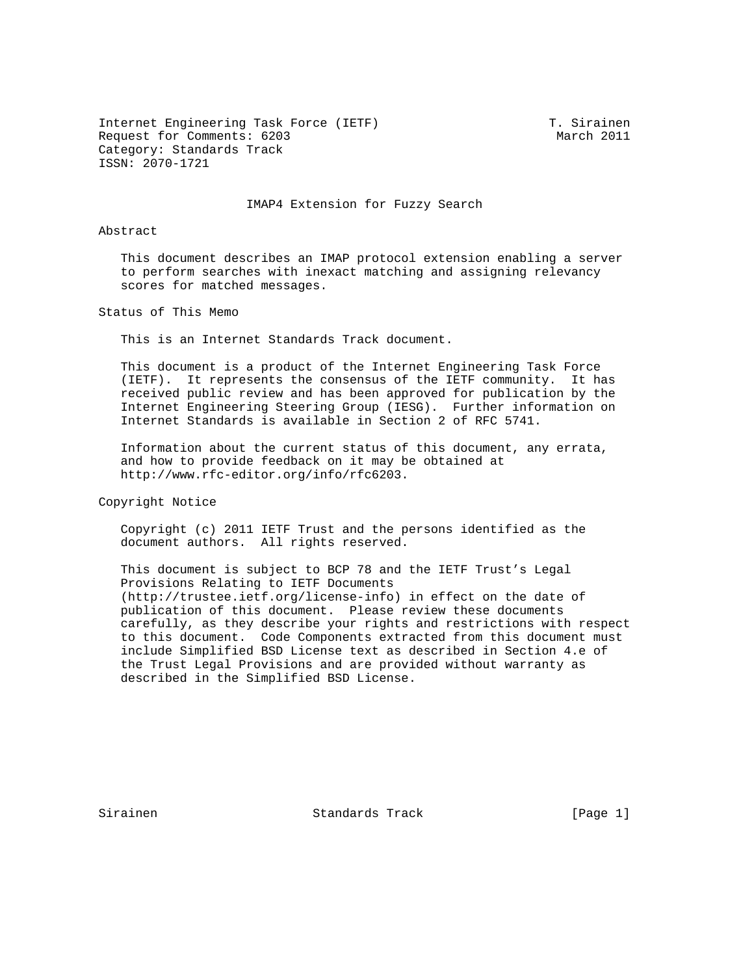Internet Engineering Task Force (IETF) T. Sirainen Request for Comments: 6203 March 2011 Category: Standards Track ISSN: 2070-1721

## IMAP4 Extension for Fuzzy Search

## Abstract

 This document describes an IMAP protocol extension enabling a server to perform searches with inexact matching and assigning relevancy scores for matched messages.

Status of This Memo

This is an Internet Standards Track document.

 This document is a product of the Internet Engineering Task Force (IETF). It represents the consensus of the IETF community. It has received public review and has been approved for publication by the Internet Engineering Steering Group (IESG). Further information on Internet Standards is available in Section 2 of RFC 5741.

 Information about the current status of this document, any errata, and how to provide feedback on it may be obtained at http://www.rfc-editor.org/info/rfc6203.

Copyright Notice

 Copyright (c) 2011 IETF Trust and the persons identified as the document authors. All rights reserved.

 This document is subject to BCP 78 and the IETF Trust's Legal Provisions Relating to IETF Documents (http://trustee.ietf.org/license-info) in effect on the date of publication of this document. Please review these documents carefully, as they describe your rights and restrictions with respect to this document. Code Components extracted from this document must include Simplified BSD License text as described in Section 4.e of the Trust Legal Provisions and are provided without warranty as described in the Simplified BSD License.

Sirainen Standards Track [Page 1]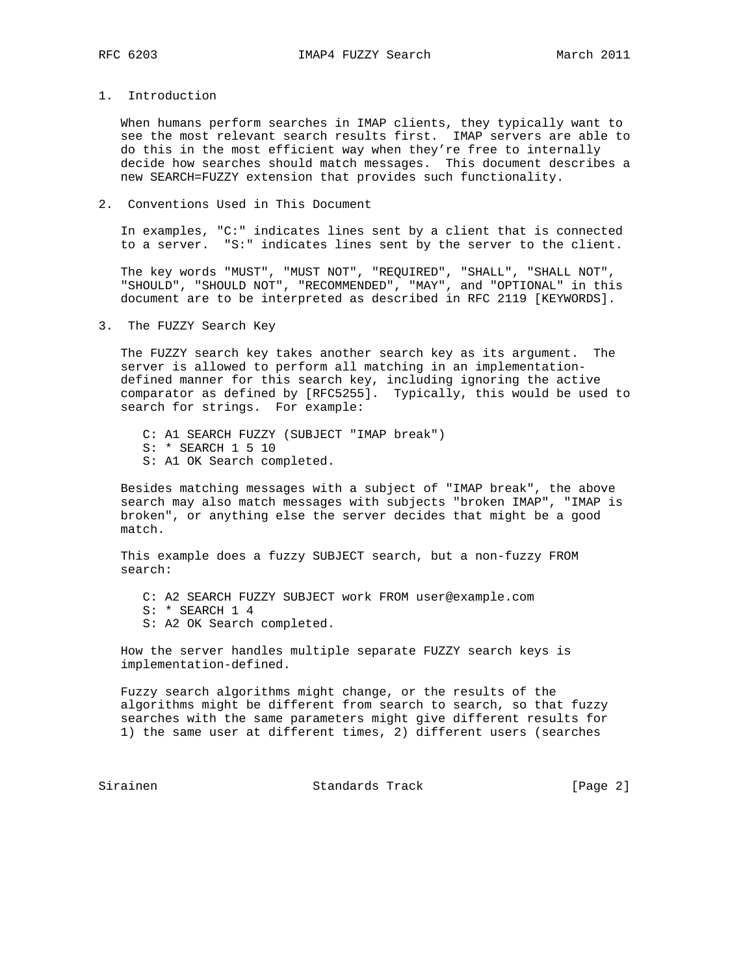1. Introduction

 When humans perform searches in IMAP clients, they typically want to see the most relevant search results first. IMAP servers are able to do this in the most efficient way when they're free to internally decide how searches should match messages. This document describes a new SEARCH=FUZZY extension that provides such functionality.

2. Conventions Used in This Document

 In examples, "C:" indicates lines sent by a client that is connected to a server. "S:" indicates lines sent by the server to the client.

 The key words "MUST", "MUST NOT", "REQUIRED", "SHALL", "SHALL NOT", "SHOULD", "SHOULD NOT", "RECOMMENDED", "MAY", and "OPTIONAL" in this document are to be interpreted as described in RFC 2119 [KEYWORDS].

3. The FUZZY Search Key

 The FUZZY search key takes another search key as its argument. The server is allowed to perform all matching in an implementation defined manner for this search key, including ignoring the active comparator as defined by [RFC5255]. Typically, this would be used to search for strings. For example:

- C: A1 SEARCH FUZZY (SUBJECT "IMAP break")
- S: \* SEARCH 1 5 10
- S: A1 OK Search completed.

 Besides matching messages with a subject of "IMAP break", the above search may also match messages with subjects "broken IMAP", "IMAP is broken", or anything else the server decides that might be a good match.

 This example does a fuzzy SUBJECT search, but a non-fuzzy FROM search:

- C: A2 SEARCH FUZZY SUBJECT work FROM user@example.com
- S: \* SEARCH 1 4
- S: A2 OK Search completed.

 How the server handles multiple separate FUZZY search keys is implementation-defined.

 Fuzzy search algorithms might change, or the results of the algorithms might be different from search to search, so that fuzzy searches with the same parameters might give different results for 1) the same user at different times, 2) different users (searches

Sirainen Standards Track [Page 2]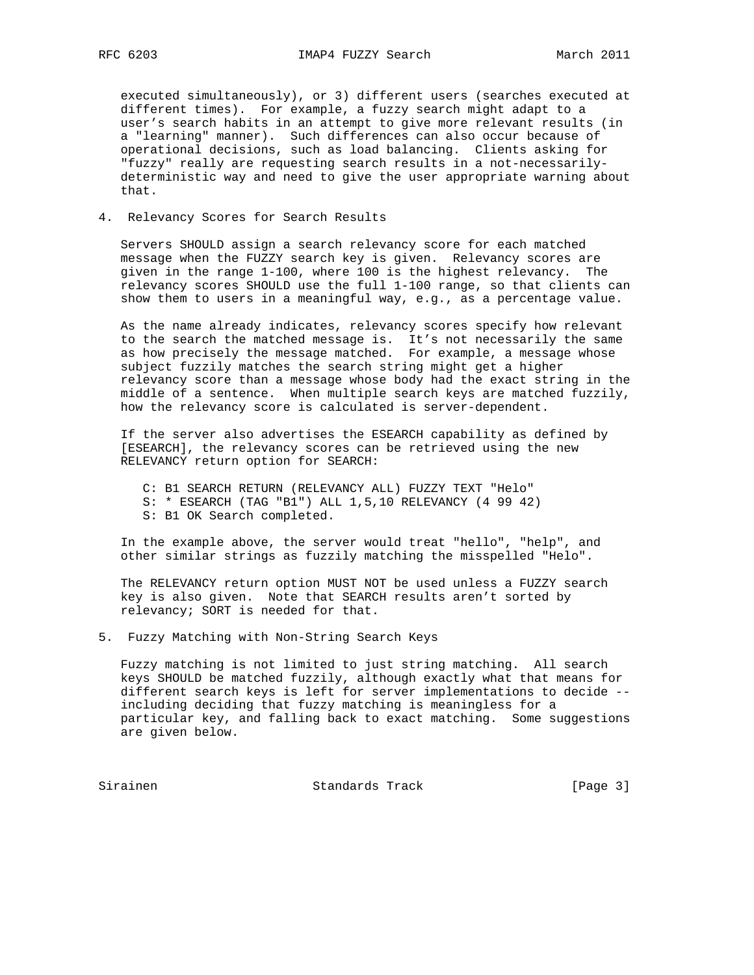executed simultaneously), or 3) different users (searches executed at different times). For example, a fuzzy search might adapt to a user's search habits in an attempt to give more relevant results (in a "learning" manner). Such differences can also occur because of operational decisions, such as load balancing. Clients asking for "fuzzy" really are requesting search results in a not-necessarily deterministic way and need to give the user appropriate warning about that.

4. Relevancy Scores for Search Results

 Servers SHOULD assign a search relevancy score for each matched message when the FUZZY search key is given. Relevancy scores are given in the range 1-100, where 100 is the highest relevancy. The relevancy scores SHOULD use the full 1-100 range, so that clients can show them to users in a meaningful way, e.g., as a percentage value.

 As the name already indicates, relevancy scores specify how relevant to the search the matched message is. It's not necessarily the same as how precisely the message matched. For example, a message whose subject fuzzily matches the search string might get a higher relevancy score than a message whose body had the exact string in the middle of a sentence. When multiple search keys are matched fuzzily, how the relevancy score is calculated is server-dependent.

 If the server also advertises the ESEARCH capability as defined by [ESEARCH], the relevancy scores can be retrieved using the new RELEVANCY return option for SEARCH:

- C: B1 SEARCH RETURN (RELEVANCY ALL) FUZZY TEXT "Helo"
- S: \* ESEARCH (TAG "B1") ALL 1,5,10 RELEVANCY (4 99 42)
- S: B1 OK Search completed.

 In the example above, the server would treat "hello", "help", and other similar strings as fuzzily matching the misspelled "Helo".

 The RELEVANCY return option MUST NOT be used unless a FUZZY search key is also given. Note that SEARCH results aren't sorted by relevancy; SORT is needed for that.

5. Fuzzy Matching with Non-String Search Keys

 Fuzzy matching is not limited to just string matching. All search keys SHOULD be matched fuzzily, although exactly what that means for different search keys is left for server implementations to decide - including deciding that fuzzy matching is meaningless for a particular key, and falling back to exact matching. Some suggestions are given below.

Sirainen Standards Track [Page 3]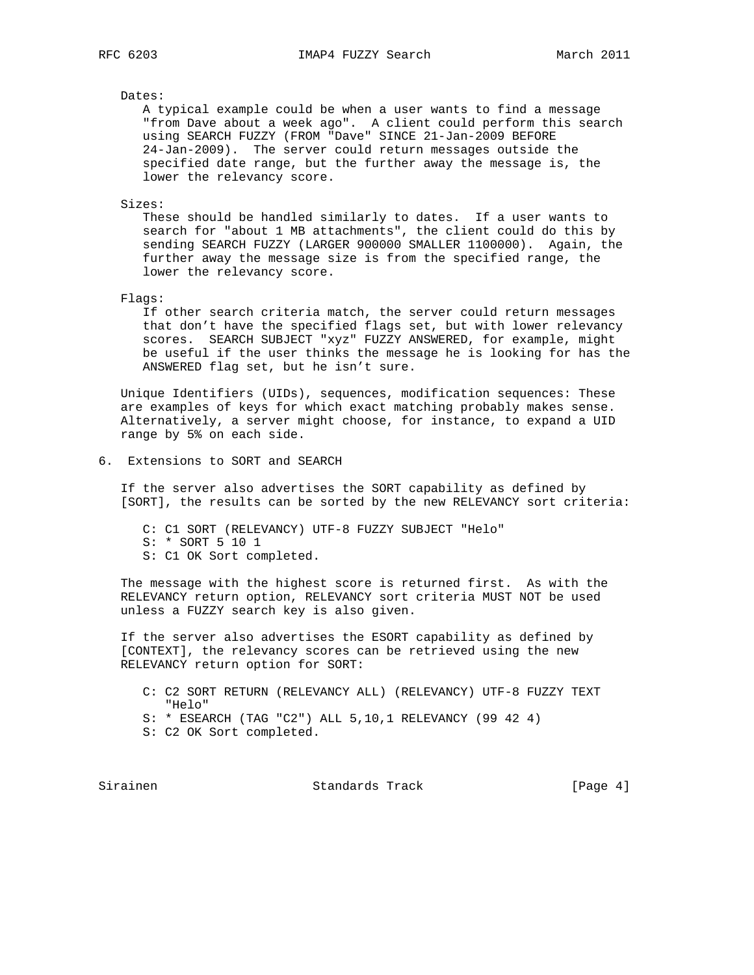## Dates:

 A typical example could be when a user wants to find a message "from Dave about a week ago". A client could perform this search using SEARCH FUZZY (FROM "Dave" SINCE 21-Jan-2009 BEFORE 24-Jan-2009). The server could return messages outside the specified date range, but the further away the message is, the lower the relevancy score.

Sizes:

 These should be handled similarly to dates. If a user wants to search for "about 1 MB attachments", the client could do this by sending SEARCH FUZZY (LARGER 900000 SMALLER 1100000). Again, the further away the message size is from the specified range, the lower the relevancy score.

Flags:

 If other search criteria match, the server could return messages that don't have the specified flags set, but with lower relevancy scores. SEARCH SUBJECT "xyz" FUZZY ANSWERED, for example, might be useful if the user thinks the message he is looking for has the ANSWERED flag set, but he isn't sure.

 Unique Identifiers (UIDs), sequences, modification sequences: These are examples of keys for which exact matching probably makes sense. Alternatively, a server might choose, for instance, to expand a UID range by 5% on each side.

6. Extensions to SORT and SEARCH

 If the server also advertises the SORT capability as defined by [SORT], the results can be sorted by the new RELEVANCY sort criteria:

 C: C1 SORT (RELEVANCY) UTF-8 FUZZY SUBJECT "Helo" S: \* SORT 5 10 1 S: C1 OK Sort completed.

 The message with the highest score is returned first. As with the RELEVANCY return option, RELEVANCY sort criteria MUST NOT be used unless a FUZZY search key is also given.

 If the server also advertises the ESORT capability as defined by [CONTEXT], the relevancy scores can be retrieved using the new RELEVANCY return option for SORT:

 C: C2 SORT RETURN (RELEVANCY ALL) (RELEVANCY) UTF-8 FUZZY TEXT "Helo"

S: \* ESEARCH (TAG "C2") ALL 5,10,1 RELEVANCY (99 42 4)

S: C2 OK Sort completed.

Sirainen Standards Track [Page 4]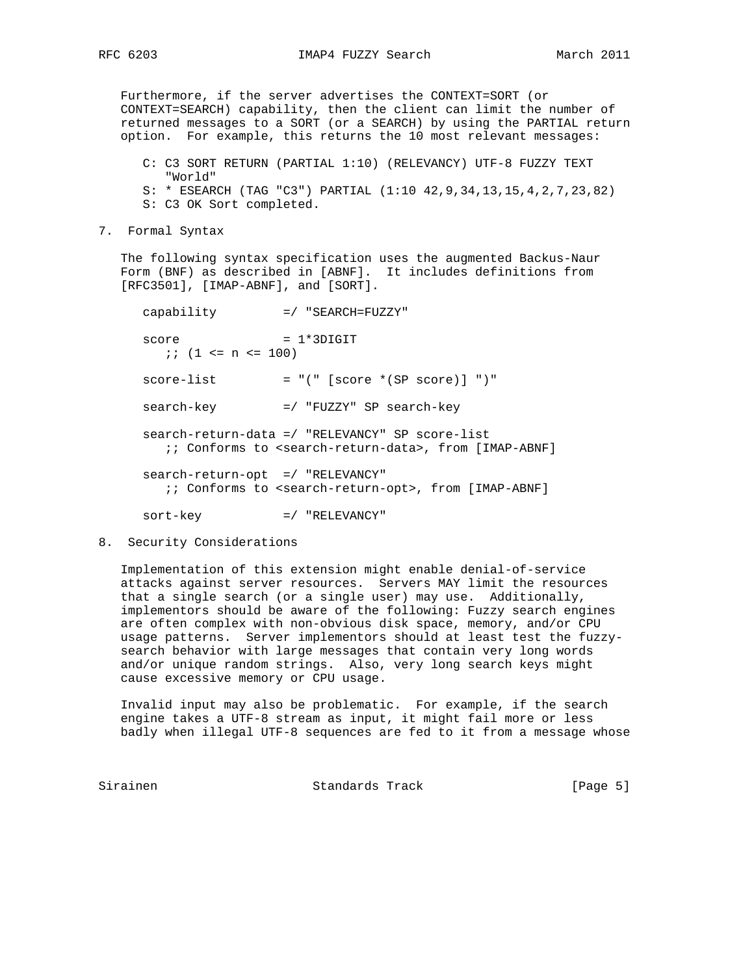Furthermore, if the server advertises the CONTEXT=SORT (or CONTEXT=SEARCH) capability, then the client can limit the number of returned messages to a SORT (or a SEARCH) by using the PARTIAL return option. For example, this returns the 10 most relevant messages:

 C: C3 SORT RETURN (PARTIAL 1:10) (RELEVANCY) UTF-8 FUZZY TEXT "World" S: \* ESEARCH (TAG "C3") PARTIAL (1:10 42,9,34,13,15,4,2,7,23,82) S: C3 OK Sort completed.

7. Formal Syntax

 The following syntax specification uses the augmented Backus-Naur Form (BNF) as described in [ABNF]. It includes definitions from [RFC3501], [IMAP-ABNF], and [SORT].

 capability =/ "SEARCH=FUZZY"  $score = 1*3DIGIT$  ;; (1 <= n <= 100)  $score-list = "(" [score * (SP score)] ")"$  search-key =/ "FUZZY" SP search-key search-return-data =/ "RELEVANCY" SP score-list ;; Conforms to <search-return-data>, from [IMAP-ABNF] search-return-opt =/ "RELEVANCY" ;; Conforms to <search-return-opt>, from [IMAP-ABNF]

sort-key =/ "RELEVANCY"

8. Security Considerations

 Implementation of this extension might enable denial-of-service attacks against server resources. Servers MAY limit the resources that a single search (or a single user) may use. Additionally, implementors should be aware of the following: Fuzzy search engines are often complex with non-obvious disk space, memory, and/or CPU usage patterns. Server implementors should at least test the fuzzy search behavior with large messages that contain very long words and/or unique random strings. Also, very long search keys might cause excessive memory or CPU usage.

 Invalid input may also be problematic. For example, if the search engine takes a UTF-8 stream as input, it might fail more or less badly when illegal UTF-8 sequences are fed to it from a message whose

Sirainen Standards Track [Page 5]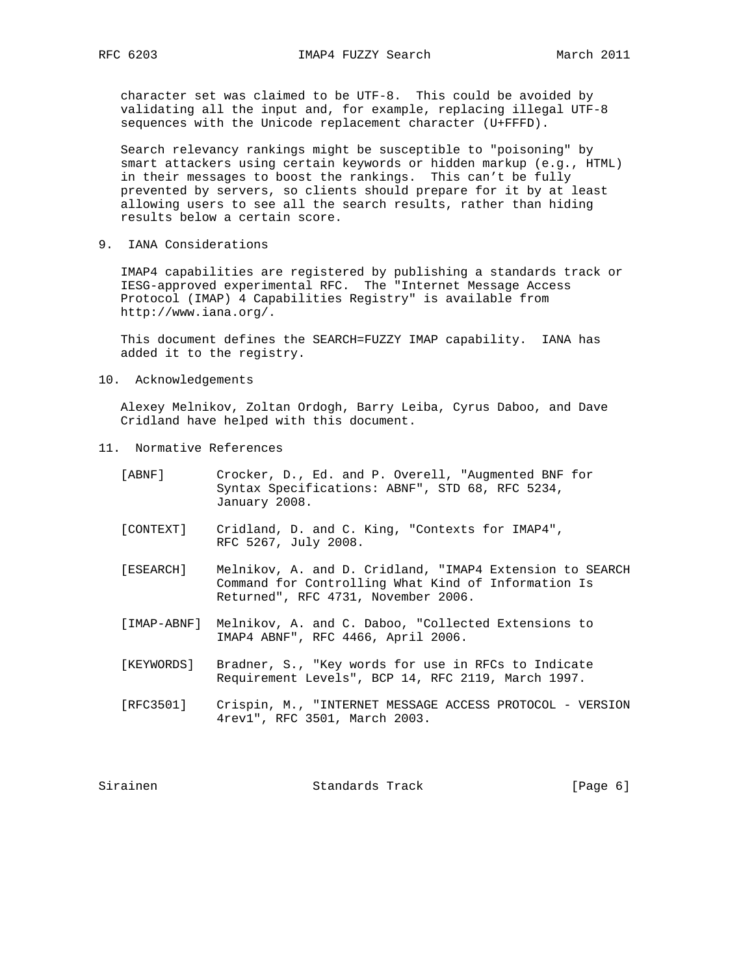character set was claimed to be UTF-8. This could be avoided by validating all the input and, for example, replacing illegal UTF-8 sequences with the Unicode replacement character (U+FFFD).

 Search relevancy rankings might be susceptible to "poisoning" by smart attackers using certain keywords or hidden markup (e.g., HTML) in their messages to boost the rankings. This can't be fully prevented by servers, so clients should prepare for it by at least allowing users to see all the search results, rather than hiding results below a certain score.

9. IANA Considerations

 IMAP4 capabilities are registered by publishing a standards track or IESG-approved experimental RFC. The "Internet Message Access Protocol (IMAP) 4 Capabilities Registry" is available from http://www.iana.org/.

 This document defines the SEARCH=FUZZY IMAP capability. IANA has added it to the registry.

10. Acknowledgements

 Alexey Melnikov, Zoltan Ordogh, Barry Leiba, Cyrus Daboo, and Dave Cridland have helped with this document.

11. Normative References

| [ABNF]      | Crocker, D., Ed. and P. Overell, "Augmented BNF for<br>Syntax Specifications: ABNF", STD 68, RFC 5234,<br>January 2008.                                |  |
|-------------|--------------------------------------------------------------------------------------------------------------------------------------------------------|--|
| [ CONTEXT ] | Cridland, D. and C. King, "Contexts for IMAP4",<br>RFC 5267, July 2008.                                                                                |  |
| [ESEARCH]   | Melnikov, A. and D. Cridland, "IMAP4 Extension to SEARCH<br>Command for Controlling What Kind of Information Is<br>Returned", RFC 4731, November 2006. |  |
| [IMAP-ABNF] | Melnikov, A. and C. Daboo, "Collected Extensions to<br>IMAP4 ABNF", RFC 4466, April 2006.                                                              |  |
| [KEYWORDS]  | Bradner, S., "Key words for use in RFCs to Indicate<br>Requirement Levels", BCP 14, RFC 2119, March 1997.                                              |  |
| [RFC3501]   | Crispin, M., "INTERNET MESSAGE ACCESS PROTOCOL - VERSION<br>4rev1", RFC 3501, March 2003.                                                              |  |
| Sirainen    | Standards Track<br>[Page 6]                                                                                                                            |  |